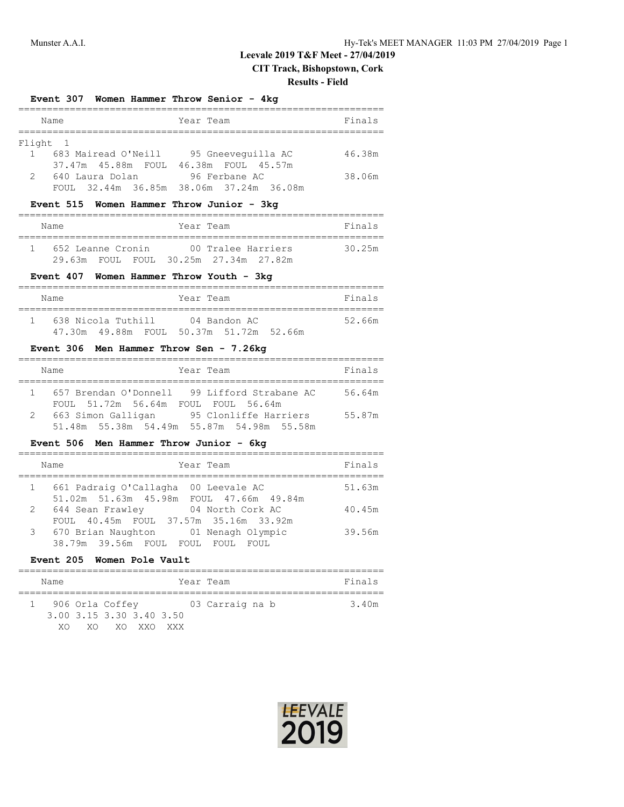## **Leevale 2019 T&F Meet - 27/04/2019**

**CIT Track, Bishopstown, Cork**

#### **Results - Field**

#### **Event 307 Women Hammer Throw Senior - 4kg**

|                | Name                                  | Year Team                               | Finals |
|----------------|---------------------------------------|-----------------------------------------|--------|
| Flight 1       |                                       |                                         |        |
| $\overline{1}$ | 683 Mairead O'Neill                   | 95 Gneevequilla AC                      | 46.38m |
|                | 37.47m 45.88m FOUL 46.38m FOUL 45.57m |                                         |        |
| $\mathcal{L}$  | 640 Laura Dolan                       | 96 Ferbane AC                           | 38.06m |
|                |                                       | FOUL 32.44m 36.85m 38.06m 37.24m 36.08m |        |

#### **Event 515 Women Hammer Throw Junior - 3kg**

| Name              |  | Year Team |                                       |  | Finals |
|-------------------|--|-----------|---------------------------------------|--|--------|
| 652 Leanne Cronin |  |           | 00 Tralee Harriers                    |  | 30.25m |
|                   |  |           | 29.63m FOUL FOUL 30.25m 27.34m 27.82m |  |        |

#### **Event 407 Women Hammer Throw Youth - 3kg**

| Name |                    | Year Team |                                         | Finals |
|------|--------------------|-----------|-----------------------------------------|--------|
|      |                    |           |                                         |        |
|      | 638 Nicola Tuthill |           | 04 Bandon AC                            | 52.66m |
|      |                    |           | 47.30m 49.88m FOUL 50.37m 51.72m 52.66m |        |

## **Event 306 Men Hammer Throw Sen - 7.26kg**

|   | Name               | Year Team                                    | Finals |
|---|--------------------|----------------------------------------------|--------|
|   |                    |                                              |        |
|   |                    | 657 Brendan O'Donnell 99 Lifford Strabane AC | 56.64m |
|   | FOUL 51.72m 56.64m | FOUL FOUL 56.64m                             |        |
| 2 | 663 Simon Galligan | 95 Clonliffe Harriers                        | 55.87m |
|   |                    | 51.48m 55.38m 54.49m 55.87m 54.98m 55.58m    |        |

#### **Event 506 Men Hammer Throw Junior - 6kg**

|           | Year Team<br>Name                                                               | Finals |
|-----------|---------------------------------------------------------------------------------|--------|
| $1 \quad$ | 661 Padraig O'Callagha 00 Leevale AC<br>51.02m 51.63m 45.98m FOUL 47.66m 49.84m | 51.63m |
|           | 2 644 Sean Frawley 04 North Cork AC<br>FOUL 40.45m FOUL 37.57m 35.16m 33.92m    | 40.45m |
|           | 3 670 Brian Naughton 01 Nenagh Olympic<br>38.79m 39.56m FOUL FOUL FOUL<br>FOUL. | 39.56m |

# **Event 205 Women Pole Vault**

| Name |                                                                 |  | Year Team       |  | Finals |
|------|-----------------------------------------------------------------|--|-----------------|--|--------|
|      | 906 Orla Coffey<br>3.00 3.15 3.30 3.40 3.50<br>XO XO XO XXO XXX |  | 03 Carraig na b |  | 3.40m  |

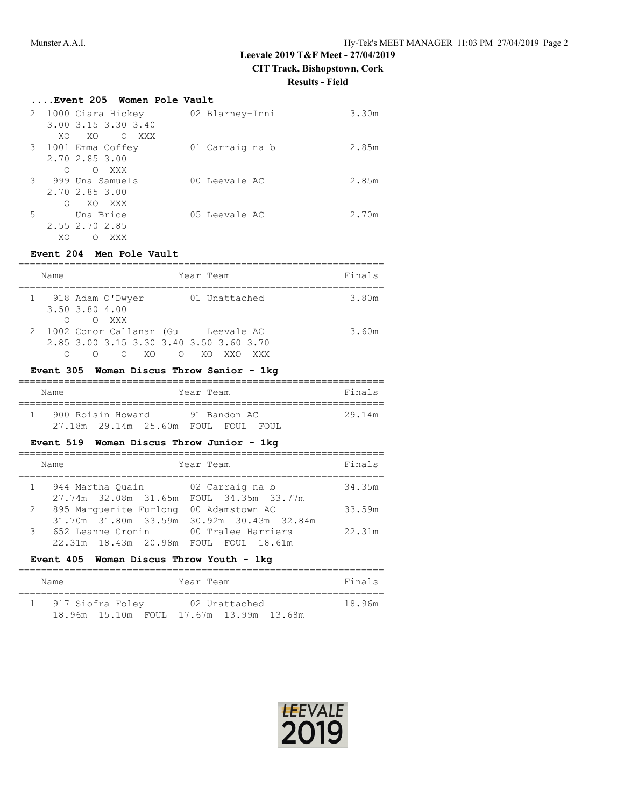# **Leevale 2019 T&F Meet - 27/04/2019**

**CIT Track, Bishopstown, Cork**

**Results - Field**

|   | Event 205 Women Pole Vault   |                 |       |
|---|------------------------------|-----------------|-------|
|   | 2 1000 Ciara Hickey          | 02 Blarney-Inni | 3.30m |
|   | 3.00 3.15 3.30 3.40          |                 |       |
|   | XO<br>XO<br>$\circ$<br>XXX X |                 |       |
|   | 3 1001 Emma Coffey           | 01 Carraig na b | 2.85m |
|   | 2,70 2,85 3,00               |                 |       |
|   | O XXX<br>∩                   |                 |       |
|   | 3 999 Una Samuels            | 00 Leevale AC   | 2.85m |
|   | 2,70 2,85 3,00               |                 |       |
|   | XO XXX<br>∩                  |                 |       |
| 5 | Una Brice                    | 05 Leevale AC   | 2.70m |
|   | 2.55 2.70 2.85               |                 |       |
|   | XO<br>XXX<br>Ω               |                 |       |

## **Event 204 Men Pole Vault**

| Name | Year Team                                                                                                         | Finals |
|------|-------------------------------------------------------------------------------------------------------------------|--------|
|      | 01 Unattached<br>1 918 Adam O'Dwyer<br>3.50 3.80 4.00                                                             | 3.80m  |
|      | O XXX<br>2 1002 Conor Callanan (Gu Leevale AC<br>2.85 3.00 3.15 3.30 3.40 3.50 3.60 3.70<br>XO.<br>∩<br>XΟ<br>XXX | 3.60m  |

## **Event 305 Women Discus Throw Senior - 1kg**

| Name              | Year Team    | Finals |
|-------------------|--------------|--------|
| 900 Roisin Howard | 91 Bandon AC | 29.14m |
|                   | FOIII.       |        |

## **Event 519 Women Discus Throw Junior - 1kg**

|              | Name                                                                           | Year Team       | Finals |
|--------------|--------------------------------------------------------------------------------|-----------------|--------|
|              | 944 Martha Ouain (02 Carraig na b<br>27.74m 32.08m 31.65m FOUL 34.35m 33.77m   |                 | 34.35m |
| $\mathbf{2}$ | 895 Marquerite Furlong<br>31.70m 31.80m 33.59m 30.92m 30.43m 32.84m            | 00 Adamstown AC | 33.59m |
| 3            | 652 Leanne Cronin 100 Tralee Harriers<br>22.31m 18.43m 20.98m FOUL FOUL 18.61m |                 | 22.31m |

#### **Event 405 Women Discus Throw Youth - 1kg**

| Name |                                         | Year Team |               |  | Finals |
|------|-----------------------------------------|-----------|---------------|--|--------|
|      | 917 Siofra Foley                        |           | 02 Unattached |  | 18.96m |
|      | 18.96m 15.10m FOUL 17.67m 13.99m 13.68m |           |               |  |        |

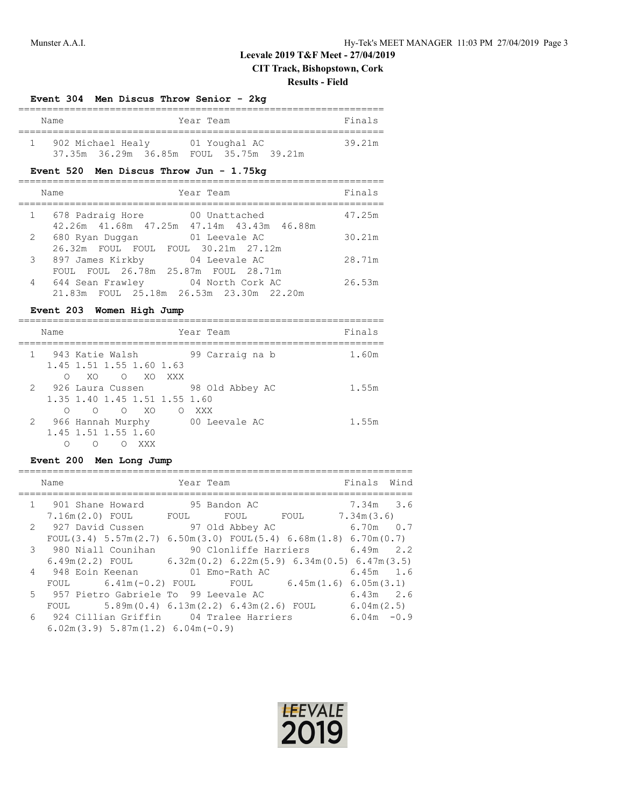# **Leevale 2019 T&F Meet - 27/04/2019**

**CIT Track, Bishopstown, Cork**

#### **Results - Field**

#### **Event 304 Men Discus Throw Senior - 2kg**

| Name |                   |                                         | Year Team |               |  | Finals |
|------|-------------------|-----------------------------------------|-----------|---------------|--|--------|
|      | 902 Michael Healy |                                         |           | 01 Youghal AC |  | 39.21m |
|      |                   | 37.35m 36.29m 36.85m FOUL 35.75m 39.21m |           |               |  |        |

## **Event 520 Men Discus Throw Jun - 1.75kg**

|              | Year Team<br>Name                                                                  | Finals |
|--------------|------------------------------------------------------------------------------------|--------|
| $\mathbf{1}$ | 678 Padraig Hore<br>00 Unattached                                                  | 47.25m |
| $\mathbf{2}$ | 42.26m  41.68m  47.25m  47.14m  43.43m  46.88m<br>680 Ryan Duggan<br>01 Leevale AC | 30.21m |
| 3            | 26.32m FOUL FOUL FOUL 30.21m 27.12m<br>897 James Kirkby<br>04 Leevale AC           | 28.71m |
| 4            | FOUL FOUL 26.78m 25.87m FOUL 28.71m<br>04 North Cork AC<br>644 Sean Frawley        | 26.53m |
|              | 21.83m FOUL 25.18m 26.53m 23.30m 22.20m                                            |        |

## **Event 203 Women High Jump**

| Name |                                                                           | Year Team              | Finals |
|------|---------------------------------------------------------------------------|------------------------|--------|
| ∩    | 1 943 Katie Walsh<br>1.45 1.51 1.55 1.60 1.63<br>XOOXOXXX                 | 99 Carraig na b        | 1.60m  |
| ∩    | 2 926 Laura Cussen<br>1, 35 1, 40 1, 45 1, 51 1, 55 1, 60<br>$O$ $O$ $XO$ | 98 Old Abbey AC        | 1.55m  |
|      | 2 966 Hannah Murphy<br>1.45 1.51 1.55 1.60<br>xxx<br>∩                    | O XXX<br>00 Leevale AC | 1.55m  |

## **Event 200 Men Long Jump**

| Name                                                                                      | Year Team |           | Finals Wind |  |
|-------------------------------------------------------------------------------------------|-----------|-----------|-------------|--|
|                                                                                           |           |           |             |  |
| 1 901 Shane Howard 95 Bandon AC                                                           |           |           | 7.34m 3.6   |  |
| 7.16m(2.0) FOUL FOUL FOUL FOUL FOUL                                                       |           |           | 7.34m(3.6)  |  |
| 2 927 David Cussen 97 Old Abbey AC                                                        |           | 6.70m 0.7 |             |  |
| FOUL(3.4) $5.57$ m(2.7) $6.50$ m(3.0) FOUL(5.4) $6.68$ m(1.8) $6.70$ m(0.7)               |           |           |             |  |
| 3 980 Niall Counihan 90 Clonliffe Harriers 6.49m 2.2                                      |           |           |             |  |
| $6.49$ m $(2.2)$ FOUL $6.32$ m $(0.2)$ $6.22$ m $(5.9)$ $6.34$ m $(0.5)$ $6.47$ m $(3.5)$ |           |           |             |  |
| 4 948 Eoin Keenan 01 Emo-Rath AC                                                          |           |           | $6.45m$ 1.6 |  |
| FOUL 6.41m(-0.2) FOUL FOUL 6.45m(1.6) 6.05m(3.1)                                          |           |           |             |  |
| 5 957 Pietro Gabriele To 99 Leevale AC                                                    |           |           | $6.43m$ 2.6 |  |
| $5.89$ m(0.4) 6.13m(2.2) 6.43m(2.6) FOUL 6.04m(2.5)<br>FOUL                               |           |           |             |  |
| 6 924 Cillian Griffin 04 Tralee Harriers 6.04m -0.9                                       |           |           |             |  |
| $6.02$ m $(3.9)$ 5.87m $(1.2)$ 6.04m $(-0.9)$                                             |           |           |             |  |

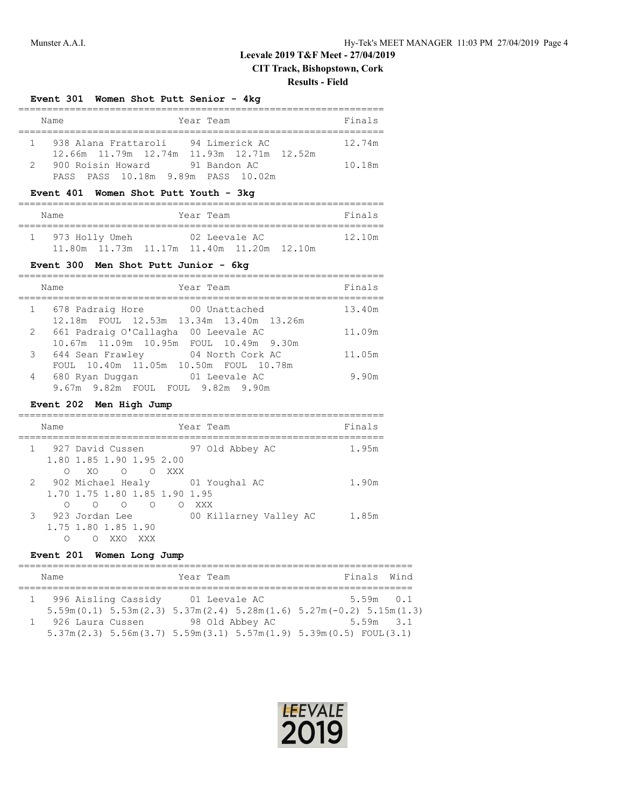# **Leevale 2019 T&F Meet - 27/04/2019 CIT Track, Bishopstown, Cork**

# **Results - Field**

#### **Event 301 Women Shot Putt Senior - 4kg**

|               | Name                                                                             | Year Team | Finals |
|---------------|----------------------------------------------------------------------------------|-----------|--------|
|               | 938 Alana Frattaroli 94 Limerick AC<br>12.66m 11.79m 12.74m 11.93m 12.71m 12.52m |           | 12.74m |
| $\mathcal{P}$ | 900 Roisin Howard 91 Bandon AC<br>PASS PASS 10.18m 9.89m PASS 10.02m             |           | 10.18m |

## **Event 401 Women Shot Putt Youth - 3kg**

| Name           |                                                       | Year Team     |  | Finals |
|----------------|-------------------------------------------------------|---------------|--|--------|
| 973 Holly Umeh |                                                       | 02 Leevale AC |  | 12.10m |
|                | $11.80m$ $11.73m$ $11.17m$ $11.40m$ $11.20m$ $12.10m$ |               |  |        |

#### **Event 300 Men Shot Putt Junior - 6kg**

|              | Year Team<br>Name                       | Finals |
|--------------|-----------------------------------------|--------|
| $\mathbf{1}$ | 678 Padraig Hore 678 Unattached         | 13.40m |
|              | 12.18m FOUL 12.53m 13.34m 13.40m 13.26m |        |
| 2            | 661 Padraig O'Callagha 00 Leevale AC    | 11.09m |
|              | 10.67m 11.09m 10.95m FOUL 10.49m 9.30m  |        |
| 3            | 644 Sean Frawley 04 North Cork AC       | 11.05m |
|              | FOUL 10.40m 11.05m 10.50m FOUL 10.78m   |        |
| 4            | 680 Ryan Duggan<br>01 Leevale AC        | 9.90m  |
|              | 9.67m 9.82m FOUL FOUL 9.82m 9.90m       |        |

## **Event 202 Men High Jump**

|               | Name |                                   | Year Team                         | Finals |
|---------------|------|-----------------------------------|-----------------------------------|--------|
|               |      | 927 David Cussen                  | 97 Old Abbey AC                   | 1.95m  |
|               |      | 1.80 1.85 1.90 1.95 2.00          |                                   |        |
|               | ∩    | XOOOXXX                           |                                   |        |
|               |      |                                   | 2 902 Michael Healy 01 Youghal AC | 1.90m  |
|               |      | 1.70 1.75 1.80 1.85 1.90 1.95     |                                   |        |
|               |      | $\Omega$<br>$\circ$<br>$\bigcirc$ | XXX X<br>$\bigcirc$               |        |
| $\mathcal{B}$ |      | 923 Jordan Lee                    | 00 Killarney Valley AC            | 1.85m  |
|               |      | 1.75 1.80 1.85 1.90               |                                   |        |
|               |      | XX O<br>XXX                       |                                   |        |

## **Event 201 Women Long Jump**

|  | Name                | Year Team                                                                                         | Finals Wind                                                                                            |  |  |  |  |
|--|---------------------|---------------------------------------------------------------------------------------------------|--------------------------------------------------------------------------------------------------------|--|--|--|--|
|  |                     |                                                                                                   |                                                                                                        |  |  |  |  |
|  | 996 Aisling Cassidy | 01 Leevale AC                                                                                     | $5.59m$ 0.1                                                                                            |  |  |  |  |
|  |                     |                                                                                                   | $5.59$ m $(0.1)$ $5.53$ m $(2.3)$ $5.37$ m $(2.4)$ $5.28$ m $(1.6)$ $5.27$ m $(-0.2)$ $5.15$ m $(1.3)$ |  |  |  |  |
|  | 1 926 Laura Cussen  | 98 Old Abbey AC                                                                                   | $5.59m$ $3.1$                                                                                          |  |  |  |  |
|  |                     | $5.37$ m $(2.3)$ $5.56$ m $(3.7)$ $5.59$ m $(3.1)$ $5.57$ m $(1.9)$ $5.39$ m $(0.5)$ FOUL $(3.1)$ |                                                                                                        |  |  |  |  |